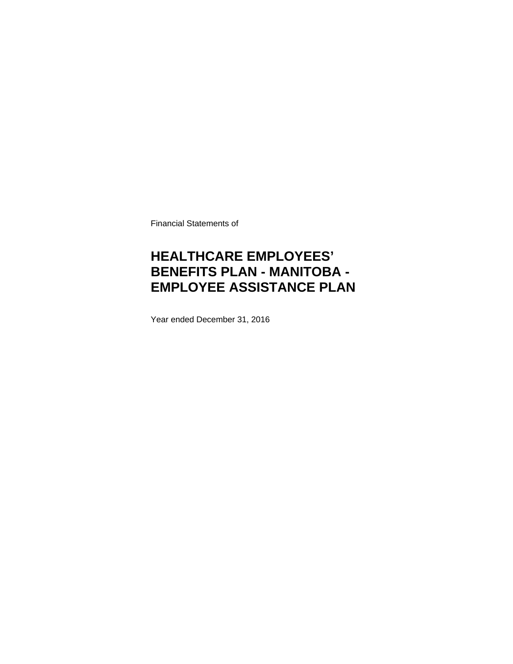Financial Statements of

# **HEALTHCARE EMPLOYEES' BENEFITS PLAN - MANITOBA - EMPLOYEE ASSISTANCE PLAN**

Year ended December 31, 2016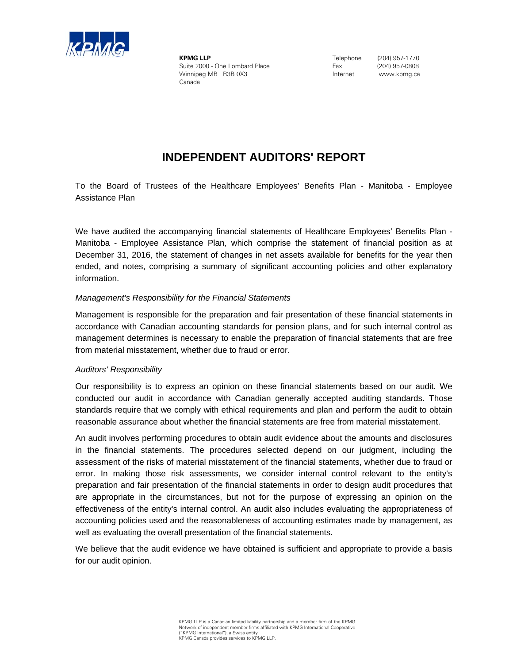

**KPMG LLP** Suite 2000 - One Lombard Place Winnipeg MB R3B 0X3 Canada

 Telephone (204) 957-1770 Fax (204) 957-0808 Internet www.kpmg.ca

## **INDEPENDENT AUDITORS' REPORT**

Assistance Plan Tion To the Board of Trustees of the Healthcare Employees' Benefits Plan - Manitoba - Employee

/ We have audited the accompanying financial statements of Healthcare Employees' Benefits Plan -Manitoba - Employee Assistance Plan, which comprise the statement of financial position as at December 31, 2016, the statement of changes in net assets available for benefits for the year then ended, and notes, comprising a summary of significant accounting policies and other explanatory information.

## *Management's Responsibility for the Financial Statements*

Management is responsible for the preparation and fair presentation of these financial statements in accordance with Canadian accounting standards for pension plans, and for such internal control as management determines is necessary to enable the preparation of financial statements that are free from material misstatement, whether due to fraud or error.

### *Auditors' Responsibility*

Our responsibility is to express an opinion on these financial statements based on our audit. We conducted our audit in accordance with Canadian generally accepted auditing standards. Those standards require that we comply with ethical requirements and plan and perform the audit to obtain reasonable assurance about whether the financial statements are free from material misstatement.

An audit involves performing procedures to obtain audit evidence about the amounts and disclosures in the financial statements. The procedures selected depend on our judgment, including the assessment of the risks of material misstatement of the financial statements, whether due to fraud or error. In making those risk assessments, we consider internal control relevant to the entity's preparation and fair presentation of the financial statements in order to design audit procedures that are appropriate in the circumstances, but not for the purpose of expressing an opinion on the effectiveness of the entity's internal control. An audit also includes evaluating the appropriateness of accounting policies used and the reasonableness of accounting estimates made by management, as well as evaluating the overall presentation of the financial statements.

We believe that the audit evidence we have obtained is sufficient and appropriate to provide a basis for our audit opinion.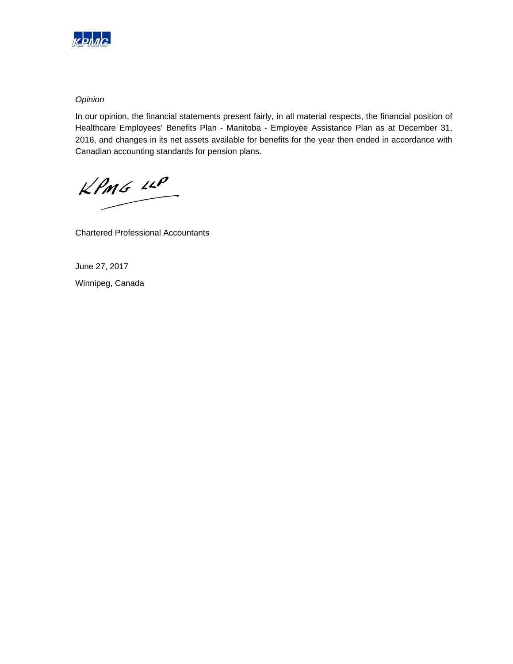

## *Opinion*

In our opinion, the financial statements present fairly, in all material respects, the financial position of Healthcare Employees' Benefits Plan - Manitoba - Employee Assistance Plan as at December 31, 2016, and changes in its net assets available for benefits for the year then ended in accordance with Canadian accounting standards for pension plans.

KPMG LLP

Chartered Professional Accountants

June 27, 2017 Winnipeg, Canada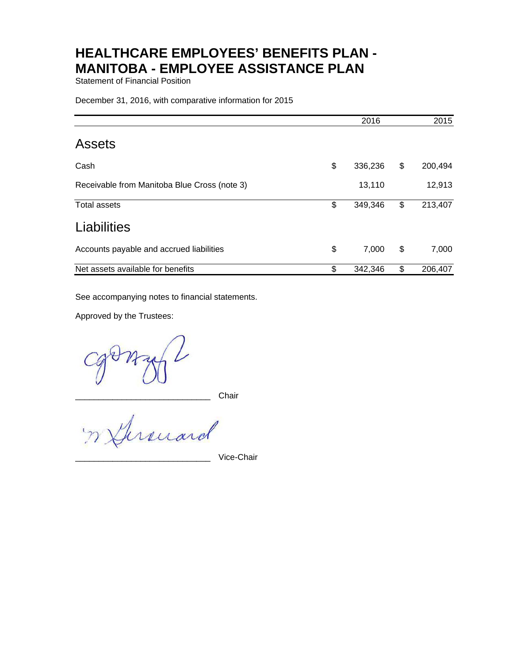Statement of Financial Position

December 31, 2016, with comparative information for 2015

|                                              | 2016          | 2015          |
|----------------------------------------------|---------------|---------------|
| <b>Assets</b>                                |               |               |
| Cash                                         | \$<br>336,236 | \$<br>200,494 |
| Receivable from Manitoba Blue Cross (note 3) | 13,110        | 12,913        |
| <b>Total assets</b>                          | \$<br>349,346 | \$<br>213,407 |
| Liabilities                                  |               |               |
| Accounts payable and accrued liabilities     | \$<br>7,000   | \$<br>7,000   |
| Net assets available for benefits            | \$<br>342,346 | \$<br>206,407 |

See accompanying notes to financial statements.

Approved by the Trustees:

\_\_\_\_\_\_\_\_\_\_\_\_\_\_\_\_\_\_\_\_\_\_\_\_\_\_\_\_\_ Chair

unard  $\mathcal{P}$ 

Vice-Chair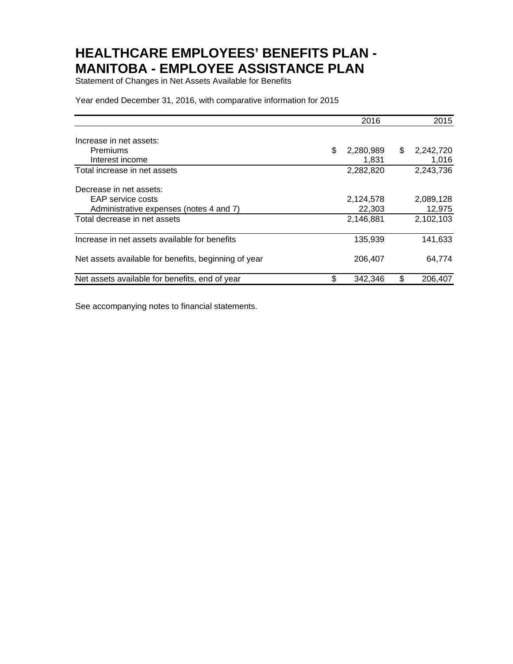Statement of Changes in Net Assets Available for Benefits

Year ended December 31, 2016, with comparative information for 2015

|                                                      | 2016            |    | 2015      |
|------------------------------------------------------|-----------------|----|-----------|
| Increase in net assets:                              |                 |    |           |
| Premiums                                             | \$<br>2,280,989 | \$ | 2,242,720 |
| Interest income                                      | 1,831           |    | 1,016     |
| Total increase in net assets                         | 2,282,820       |    | 2,243,736 |
| Decrease in net assets:                              |                 |    |           |
| EAP service costs                                    | 2,124,578       |    | 2,089,128 |
| Administrative expenses (notes 4 and 7)              | 22,303          |    | 12,975    |
| Total decrease in net assets                         | 2,146,881       |    | 2,102,103 |
| Increase in net assets available for benefits        | 135,939         |    | 141,633   |
| Net assets available for benefits, beginning of year | 206,407         |    | 64,774    |
| Net assets available for benefits, end of year       | 342.346         | S  | 206,407   |

See accompanying notes to financial statements.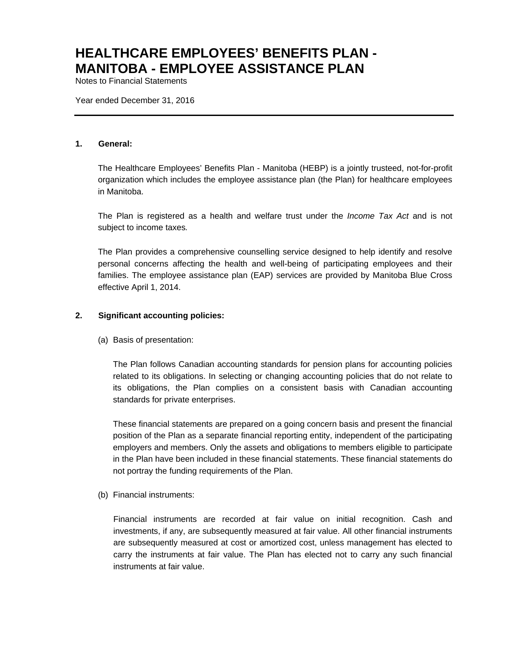Notes to Financial Statements

Year ended December 31, 2016

### **1. General:**

The Healthcare Employees' Benefits Plan - Manitoba (HEBP) is a jointly trusteed, not-for-profit organization which includes the employee assistance plan (the Plan) for healthcare employees in Manitoba.

The Plan is registered as a health and welfare trust under the *Income Tax Act* and is not subject to income taxes*.*

The Plan provides a comprehensive counselling service designed to help identify and resolve personal concerns affecting the health and well-being of participating employees and their families. The employee assistance plan (EAP) services are provided by Manitoba Blue Cross effective April 1, 2014.

### **2. Significant accounting policies:**

(a) Basis of presentation:

The Plan follows Canadian accounting standards for pension plans for accounting policies related to its obligations. In selecting or changing accounting policies that do not relate to its obligations, the Plan complies on a consistent basis with Canadian accounting standards for private enterprises.

These financial statements are prepared on a going concern basis and present the financial position of the Plan as a separate financial reporting entity, independent of the participating employers and members. Only the assets and obligations to members eligible to participate in the Plan have been included in these financial statements. These financial statements do not portray the funding requirements of the Plan.

(b) Financial instruments:

Financial instruments are recorded at fair value on initial recognition. Cash and investments, if any, are subsequently measured at fair value. All other financial instruments are subsequently measured at cost or amortized cost, unless management has elected to carry the instruments at fair value. The Plan has elected not to carry any such financial instruments at fair value.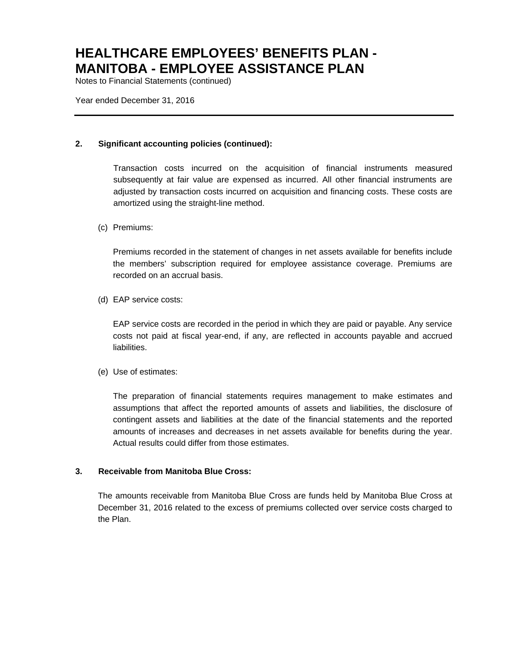Notes to Financial Statements (continued)

Year ended December 31, 2016

### **2. Significant accounting policies (continued):**

Transaction costs incurred on the acquisition of financial instruments measured subsequently at fair value are expensed as incurred. All other financial instruments are adjusted by transaction costs incurred on acquisition and financing costs. These costs are amortized using the straight-line method.

### (c) Premiums:

Premiums recorded in the statement of changes in net assets available for benefits include the members' subscription required for employee assistance coverage. Premiums are recorded on an accrual basis.

(d) EAP service costs:

EAP service costs are recorded in the period in which they are paid or payable. Any service costs not paid at fiscal year-end, if any, are reflected in accounts payable and accrued liabilities.

(e) Use of estimates:

The preparation of financial statements requires management to make estimates and assumptions that affect the reported amounts of assets and liabilities, the disclosure of contingent assets and liabilities at the date of the financial statements and the reported amounts of increases and decreases in net assets available for benefits during the year. Actual results could differ from those estimates.

### **3. Receivable from Manitoba Blue Cross:**

The amounts receivable from Manitoba Blue Cross are funds held by Manitoba Blue Cross at December 31, 2016 related to the excess of premiums collected over service costs charged to the Plan.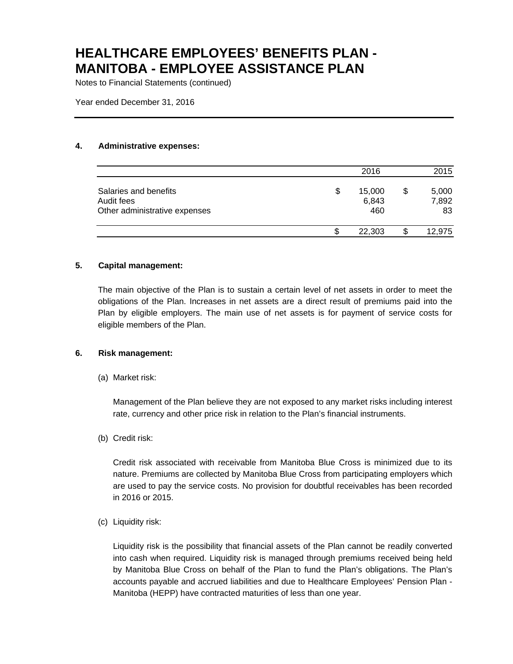Notes to Financial Statements (continued)

Year ended December 31, 2016

### **4. Administrative expenses:**

|                                                                      |    | 2016                   |   | 2015                 |
|----------------------------------------------------------------------|----|------------------------|---|----------------------|
| Salaries and benefits<br>Audit fees<br>Other administrative expenses | \$ | 15,000<br>6,843<br>460 | S | 5,000<br>7,892<br>83 |
|                                                                      | S. | 22,303                 |   | 12,975               |

### **5. Capital management:**

The main objective of the Plan is to sustain a certain level of net assets in order to meet the obligations of the Plan. Increases in net assets are a direct result of premiums paid into the Plan by eligible employers. The main use of net assets is for payment of service costs for eligible members of the Plan.

### **6. Risk management:**

(a) Market risk:

Management of the Plan believe they are not exposed to any market risks including interest rate, currency and other price risk in relation to the Plan's financial instruments.

(b) Credit risk:

Credit risk associated with receivable from Manitoba Blue Cross is minimized due to its nature. Premiums are collected by Manitoba Blue Cross from participating employers which are used to pay the service costs. No provision for doubtful receivables has been recorded in 2016 or 2015.

(c) Liquidity risk:

Liquidity risk is the possibility that financial assets of the Plan cannot be readily converted into cash when required. Liquidity risk is managed through premiums received being held by Manitoba Blue Cross on behalf of the Plan to fund the Plan's obligations. The Plan's accounts payable and accrued liabilities and due to Healthcare Employees' Pension Plan - Manitoba (HEPP) have contracted maturities of less than one year.